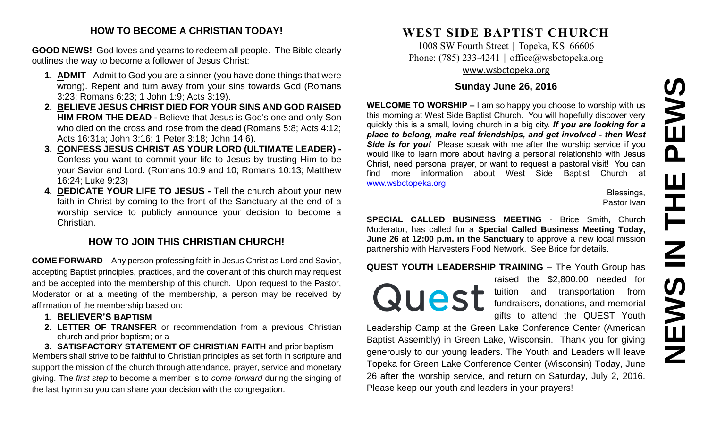# **NEWS IN THE PEWSPEWS** HH<br>N<br>N NEWS

# **HOW TO BECOME A CHRISTIAN TODAY!**

**GOOD NEWS!** God loves and yearns to redeem all people. The Bible clearly outlines the way to become a follower of Jesus Christ:

- **1. ADMIT** Admit to God you are a sinner (you have done things that were wrong). Repent and turn away from your sins towards God (Romans 3:23; Romans 6:23; 1 John 1:9; Acts 3:19).
- **2. BELIEVE JESUS CHRIST DIED FOR YOUR SINS AND GOD RAISED HIM FROM THE DEAD -** Believe that Jesus is God's one and only Son who died on the cross and rose from the dead (Romans 5:8; Acts 4:12; Acts 16:31a; John 3:16; 1 Peter 3:18; John 14:6).
- **3. CONFESS JESUS CHRIST AS YOUR LORD (ULTIMATE LEADER) -** Confess you want to commit your life to Jesus by trusting Him to be your Savior and Lord. (Romans 10:9 and 10; Romans 10:13; Matthew 16:24; Luke 9:23)
- **4. DEDICATE YOUR LIFE TO JESUS -** Tell the church about your new faith in Christ by coming to the front of the Sanctuary at the end of a worship service to publicly announce your decision to become a Christian.

# **HOW TO JOIN THIS CHRISTIAN CHURCH!**

**COME FORWARD** – Any person professing faith in Jesus Christ as Lord and Savior, accepting Baptist principles, practices, and the covenant of this church may request and be accepted into the membership of this church. Upon request to the Pastor, Moderator or at a meeting of the membership, a person may be received by affirmation of the membership based on:

- **1. BELIEVER'S BAPTISM**
- **2. LETTER OF TRANSFER** or recommendation from a previous Christian church and prior baptism; or a

**3. SATISFACTORY STATEMENT OF CHRISTIAN FAITH** and prior baptism Members shall strive to be faithful to Christian principles as set forth in scripture and support the mission of the church through attendance, prayer, service and monetary giving. The *first step* to become a member is to *come forward* during the singing of the last hymn so you can share your decision with the congregation.

# **WEST SIDE BAPTIST CHURCH**

1008 SW Fourth Street | Topeka, KS 66606 Phone: (785) 233-4241 │ [office@wsbctopeka.org](mailto:office@wsbctopeka.org) [www.wsbctopeka.org](http://www.wsbctopeka.org/)

# **Sunday June 26, 2016**

**WELCOME TO WORSHIP –** I am so happy you choose to worship with us this morning at West Side Baptist Church. You will hopefully discover very quickly this is a small, loving church in a big city. *If you are looking for a place to belong, make real friendships, and get involved - then West Side is for you!* Please speak with me after the worship service if you would like to learn more about having a personal relationship with Jesus Christ, need personal prayer, or want to request a pastoral visit! You can find more information about West Side Baptist Church at [www.wsbctopeka.org.](http://www.wsbctopeka.org/)

Blessings, Pastor Ivan

**SPECIAL CALLED BUSINESS MEETING** - Brice Smith, Church Moderator, has called for a **Special Called Business Meeting Today, June 26 at 12:00 p.m. in the Sanctuary** to approve a new local mission partnership with Harvesters Food Network. See Brice for details.

**QUEST YOUTH LEADERSHIP TRAINING** – The Youth Group has

Quest

raised the \$2,800.00 needed for tuition and transportation from fundraisers, donations, and memorial gifts to attend the QUEST Youth

Leadership Camp at the Green Lake Conference Center (American Baptist Assembly) in Green Lake, Wisconsin. Thank you for giving generously to our young leaders. The Youth and Leaders will leave Topeka for Green Lake Conference Center (Wisconsin) Today, June 26 after the worship service, and return on Saturday, July 2, 2016. Please keep our youth and leaders in your prayers!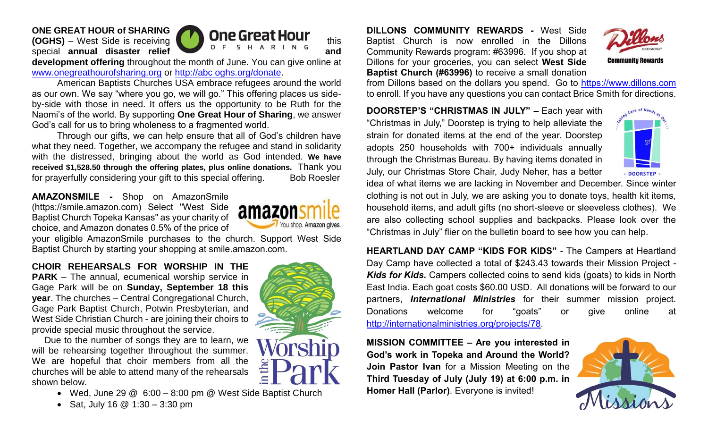# **ONE GREAT HOUR of SHARING**



**development offering** throughout the month of June. You can give online at [www.onegreathourofsharing.org](http://www.onegreathourofsharing.org/) or http://abc oghs.org/donate.

American Baptists Churches USA embrace refugees around the world as our own. We say "where you go, we will go." This offering places us sideby-side with those in need. It offers us the opportunity to be Ruth for the Naomi's of the world. By supporting **One Great Hour of Sharing**, we answer God's call for us to bring wholeness to a fragmented world.

Through our gifts, we can help ensure that all of God's children have what they need. Together, we accompany the refugee and stand in solidarity with the distressed, bringing about the world as God intended. **We have received \$1,528.50 through the offering plates, plus online donations.** Thank you for prayerfully considering your gift to this special offering. Bob Roesler

**AMAZONSMILE -** Shop on AmazonSmile (https://smile.amazon.com) Select "West Side Baptist Church Topeka Kansas" as your charity of choice, and Amazon donates 0.5% of the price of



your eligible AmazonSmile purchases to the church. Support West Side Baptist Church by starting your shopping at smile.amazon.com.

**CHOIR REHEARSALS FOR WORSHIP IN THE PARK** – The annual, ecumenical worship service in Gage Park will be on **Sunday, September 18 this year**. The churches – Central Congregational Church, Gage Park Baptist Church, Potwin Presbyterian, and West Side Christian Church - are joining their choirs to provide special music throughout the service.

Due to the number of songs they are to learn, we will be rehearsing together throughout the summer. We are hopeful that choir members from all the churches will be able to attend many of the rehearsals shown below.

- Wed, June 29 @ 6:00 8:00 pm @ West Side Baptist Church
- Sat, July 16  $@$  1:30 3:30 pm



**DILLONS COMMUNITY REWARDS -** West Side Baptist Church is now enrolled in the Dillons Community Rewards program: #63996. If you shop at Dillons for your groceries, you can select **West Side Baptist Church (#63996)** to receive a small donation



from Dillons based on the dollars you spend. Go to [https://www.dillons.com](https://www.dillons.com/) to enroll. If you have any questions you can contact Brice Smith for directions.

**DOORSTEP'S "CHRISTMAS IN JULY" –** Each year with "Christmas in July," Doorstep is trying to help alleviate the strain for donated items at the end of the year. Doorstep adopts 250 households with 700+ individuals annually through the Christmas Bureau. By having items donated in July, our Christmas Store Chair, Judy Neher, has a better



idea of what items we are lacking in November and December. Since winter clothing is not out in July, we are asking you to donate toys, health kit items, household items, and adult gifts (no short-sleeve or sleeveless clothes). We are also collecting school supplies and backpacks. Please look over the "Christmas in July" flier on the bulletin board to see how you can help.

**HEARTLAND DAY CAMP "KIDS FOR KIDS"** - The Campers at Heartland Day Camp have collected a total of \$243.43 towards their Mission Project - *Kids for Kids.* Campers collected coins to send kids (goats) to kids in North East India. Each goat costs \$60.00 USD. All donations will be forward to our partners, *International Ministries* for their summer mission project. Donations welcome for "goats" or give online at [http://internationalministries.org/projects/78.](http://internationalministries.org/projects/78)

**MISSION COMMITTEE – Are you interested in God's work in Topeka and Around the World? Join Pastor Ivan** for a Mission Meeting on the **Third Tuesday of July (July 19) at 6:00 p.m. in Homer Hall (Parlor)**. Everyone is invited!

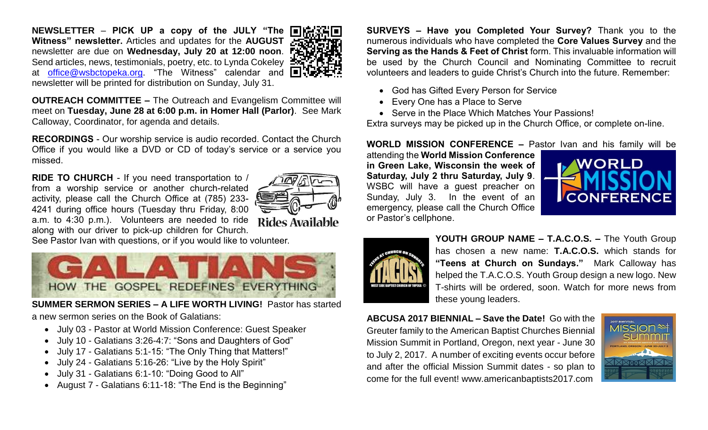**NEWSLETTER** – **PICK UP a copy of the JULY "The Witness" newsletter.** Articles and updates for the **AUGUST**  newsletter are due on **Wednesday, July 20 at 12:00 noon**. Send articles, news, testimonials, poetry, etc. to Lynda Cokeley ■ at [office@wsbctopeka.org.](mailto:office@wsbctopeka.org) "The Witness" calendar and  $\blacksquare$ newsletter will be printed for distribution on Sunday, July 31.



**OUTREACH COMMITTEE –** The Outreach and Evangelism Committee will meet on **Tuesday, June 28 at 6:00 p.m. in Homer Hall (Parlor)**. See Mark Calloway, Coordinator, for agenda and details.

**RECORDINGS** - Our worship service is audio recorded. Contact the Church Office if you would like a DVD or CD of today's service or a service you missed.

**RIDE TO CHURCH** - If you need transportation to / from a worship service or another church-related activity, please call the Church Office at (785) 233- 4241 during office hours (Tuesday thru Friday, 8:00 a.m. to 4:30 p.m.). Volunteers are needed to ride along with our driver to pick-up children for Church.



See Pastor Ivan with questions, or if you would like to volunteer.



**SUMMER SERMON SERIES – A LIFE WORTH LIVING!** Pastor has started a new sermon series on the Book of Galatians:

- July 03 Pastor at World Mission Conference: Guest Speaker
- July 10 Galatians 3:26-4:7: "Sons and Daughters of God"
- July 17 Galatians 5:1-15: "The Only Thing that Matters!"
- July 24 Galatians 5:16-26: "Live by the Holy Spirit"
- July 31 Galatians 6:1-10: "Doing Good to All"
- August 7 Galatians 6:11-18: "The End is the Beginning"

**SURVEYS – Have you Completed Your Survey?** Thank you to the numerous individuals who have completed the **Core Values Survey** and the **Serving as the Hands & Feet of Christ** form. This invaluable information will be used by the Church Council and Nominating Committee to recruit volunteers and leaders to guide Christ's Church into the future. Remember:

- God has Gifted Every Person for Service
- Every One has a Place to Serve
- Serve in the Place Which Matches Your Passions!

Extra surveys may be picked up in the Church Office, or complete on-line.

# **WORLD MISSION CONFERENCE –** Pastor Ivan and his family will be

attending the **World Mission Conference in Green Lake, Wisconsin the week of Saturday, July 2 thru Saturday, July 9**. WSBC will have a guest preacher on Sunday, July 3. In the event of an emergency, please call the Church Office or Pastor's cellphone.





**YOUTH GROUP NAME – T.A.C.O.S. –** The Youth Group has chosen a new name: **T.A.C.O.S.** which stands for **"Teens at Church on Sundays."** Mark Calloway has helped the T.A.C.O.S. Youth Group design a new logo. New T-shirts will be ordered, soon. Watch for more news from these young leaders.

**ABCUSA 2017 BIENNIAL – Save the Date!** Go with the Greuter family to the American Baptist Churches Biennial Mission Summit in Portland, Oregon, next year - June 30 to July 2, 2017. A number of exciting events occur before and after the official Mission Summit dates - so plan to come for the full event! www.americanbaptists2017.com